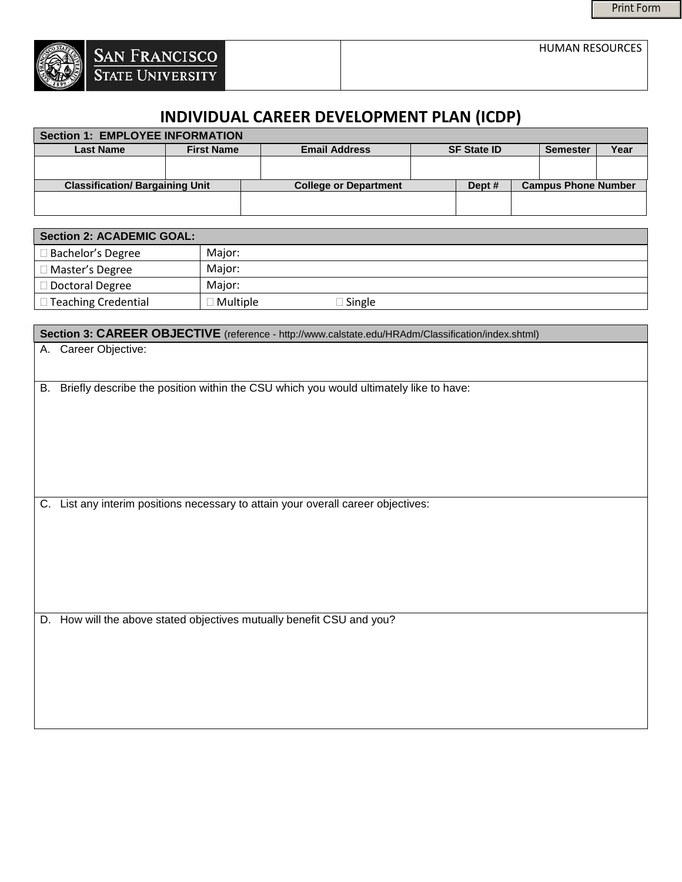HUMAN RESOURCES



| Section 1: EMPLOYEE INFORMATION        |                   |  |                              |                    |        |                            |                      |                      |
|----------------------------------------|-------------------|--|------------------------------|--------------------|--------|----------------------------|----------------------|----------------------|
| <b>Last Name</b>                       | <b>First Name</b> |  | <b>Email Address</b>         | <b>SF State ID</b> |        |                            | <b>Semester</b>      | Year                 |
|                                        |                   |  |                              |                    |        |                            | $\blacktriangledown$ | $\blacktriangledown$ |
| <b>Classification/ Bargaining Unit</b> |                   |  | <b>College or Department</b> |                    | Dept # | <b>Campus Phone Number</b> |                      |                      |
|                                        |                   |  |                              |                    |        |                            |                      |                      |

| <b>Section 2: ACADEMIC GOAL:</b> |                 |               |  |  |
|----------------------------------|-----------------|---------------|--|--|
| □ Bachelor's Degree              | Major:          |               |  |  |
| $\Box$ Master's Degree           | Maior:          |               |  |  |
| $\Box$ Doctoral Degree           | Major:          |               |  |  |
| $\Box$ Teaching Credential       | $\Box$ Multiple | $\Box$ Single |  |  |

Section 3: CAREER OBJECTIVE (reference - http://www.calstate.edu/HRAdm/Classification/index.shtml)

| A. Career Objective: |  |
|----------------------|--|
|                      |  |

B. Briefly describe the position within the CSU which you would ultimately like to have:

C. List any interim positions necessary to attain your overall career objectives:

D. How will the above stated objectives mutually benefit CSU and you?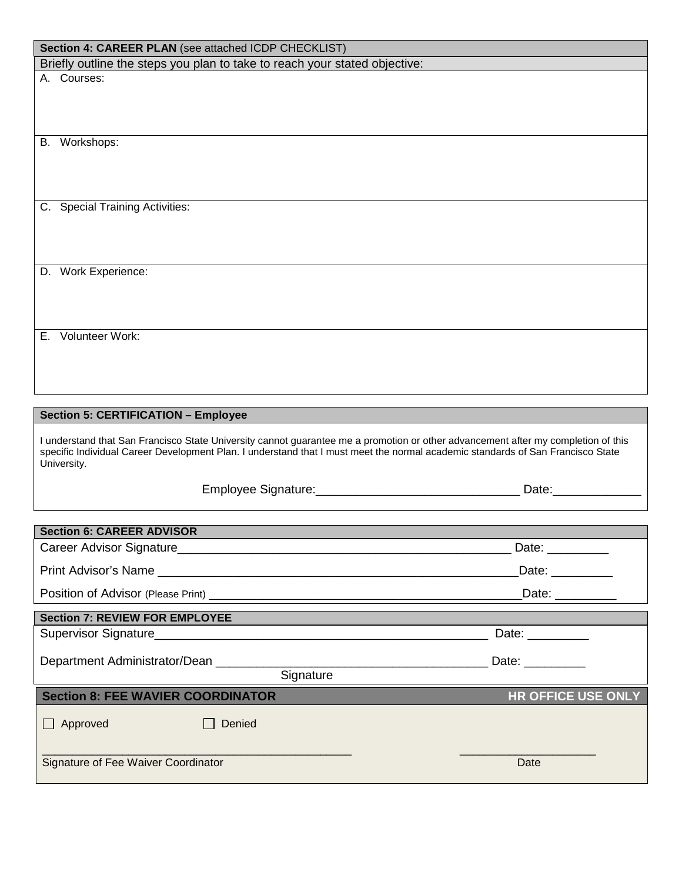| Section 4: CAREER PLAN (see attached ICDP CHECKLIST)<br>Briefly outline the steps you plan to take to reach your stated objective:             |                                    |
|------------------------------------------------------------------------------------------------------------------------------------------------|------------------------------------|
| A. Courses:                                                                                                                                    |                                    |
|                                                                                                                                                |                                    |
|                                                                                                                                                |                                    |
|                                                                                                                                                |                                    |
| B. Workshops:                                                                                                                                  |                                    |
|                                                                                                                                                |                                    |
|                                                                                                                                                |                                    |
|                                                                                                                                                |                                    |
| C. Special Training Activities:                                                                                                                |                                    |
|                                                                                                                                                |                                    |
|                                                                                                                                                |                                    |
|                                                                                                                                                |                                    |
| D. Work Experience:                                                                                                                            |                                    |
|                                                                                                                                                |                                    |
|                                                                                                                                                |                                    |
|                                                                                                                                                |                                    |
| E. Volunteer Work:                                                                                                                             |                                    |
|                                                                                                                                                |                                    |
|                                                                                                                                                |                                    |
|                                                                                                                                                |                                    |
| <b>Section 5: CERTIFICATION - Employee</b>                                                                                                     |                                    |
|                                                                                                                                                |                                    |
| I understand that San Francisco State University cannot guarantee me a promotion or other advancement after my completion of this              |                                    |
| specific Individual Career Development Plan. I understand that I must meet the normal academic standards of San Francisco State<br>University. |                                    |
|                                                                                                                                                |                                    |
|                                                                                                                                                |                                    |
|                                                                                                                                                |                                    |
| <b>Section 6: CAREER ADVISOR</b>                                                                                                               |                                    |
|                                                                                                                                                | Date: __________                   |
|                                                                                                                                                |                                    |
|                                                                                                                                                | Date: _________                    |
|                                                                                                                                                | Date: _________                    |
| <b>Section 7: REVIEW FOR EMPLOYEE</b>                                                                                                          |                                    |
|                                                                                                                                                | Date: $\_\_\_\_\_\_\_\_\_\_\_\_\_$ |
|                                                                                                                                                |                                    |
| Department Administrator/Dean ________                                                                                                         |                                    |
| Signature                                                                                                                                      |                                    |
| <b>Section 8: FEE WAVIER COORDINATOR</b>                                                                                                       | <b>HR OFFICE USE ONLY</b>          |
| Approved<br>Denied                                                                                                                             |                                    |

\_\_\_\_\_\_\_\_\_\_\_\_\_\_\_\_\_\_\_\_\_\_\_\_\_\_\_\_\_\_\_\_\_\_\_\_\_\_\_\_\_\_\_\_\_\_\_\_\_\_ \_\_\_\_\_\_\_\_\_\_\_\_\_\_\_\_\_\_\_\_\_\_ Signature of Fee Waiver Coordinator Date